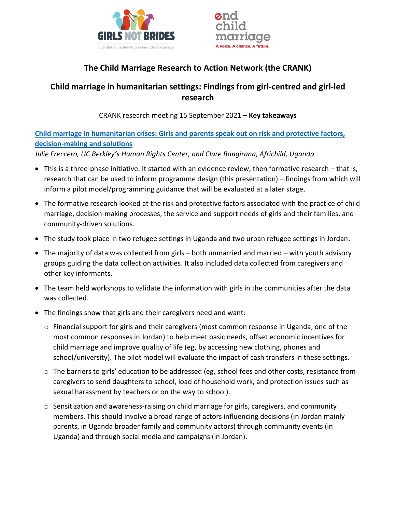



# **The Child Marriage Research to Action Network (the CRANK)**

## **Child marriage in humanitarian settings: Findings from girl-centred and girl-led research**

CRANK research meeting 15 September 2021 – **Key takeaways**

**Child marriage in humanitarian crises: Girls and [parents speak out on risk and protective factors,](https://www.girlsnotbrides.org/learning-resources/resource-centre/child-marriage-in-humanitarian-crises-girls-and-parents-speak-out-on-risk-and-protective-factors-decision-making-and-solutions/)  [decision-making and solutions](https://www.girlsnotbrides.org/learning-resources/resource-centre/child-marriage-in-humanitarian-crises-girls-and-parents-speak-out-on-risk-and-protective-factors-decision-making-and-solutions/)**

*Julie Freccero, UC Berkley's Human Rights Center, and Clare Bangirana, Africhild, Uganda* 

- This is a three-phase initiative. It started with an evidence review, then formative research that is, research that can be used to inform programme design (this presentation) – findings from which will inform a pilot model/programming guidance that will be evaluated at a later stage.
- The formative research looked at the risk and protective factors associated with the practice of child marriage, decision-making processes, the service and support needs of girls and their families, and community-driven solutions.
- The study took place in two refugee settings in Uganda and two urban refugee settings in Jordan.
- The majority of data was collected from girls both unmarried and married with youth advisory groups guiding the data collection activities. It also included data collected from caregivers and other key informants.
- The team held workshops to validate the information with girls in the communities after the data was collected.
- The findings show that girls and their caregivers need and want:
	- o Financial support for girls and their caregivers (most common response in Uganda, one of the most common responses in Jordan) to help meet basic needs, offset economic incentives for child marriage and improve quality of life (eg, by accessing new clothing, phones and school/university). The pilot model will evaluate the impact of cash transfers in these settings.
	- o The barriers to girls' education to be addressed (eg, school fees and other costs, resistance from caregivers to send daughters to school, load of household work, and protection issues such as sexual harassment by teachers or on the way to school).
	- $\circ$  Sensitization and awareness-raising on child marriage for girls, caregivers, and community members. This should involve a broad range of actors influencing decisions (in Jordan mainly parents, in Uganda broader family and community actors) through community events (in Uganda) and through social media and campaigns (in Jordan).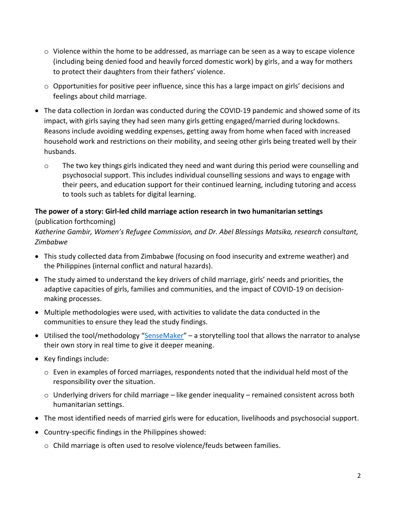- $\circ$  Violence within the home to be addressed, as marriage can be seen as a way to escape violence (including being denied food and heavily forced domestic work) by girls, and a way for mothers to protect their daughters from their fathers' violence.
- $\circ$  Opportunities for positive peer influence, since this has a large impact on girls' decisions and feelings about child marriage.
- The data collection in Jordan was conducted during the COVID-19 pandemic and showed some of its impact, with girls saying they had seen many girls getting engaged/married during lockdowns. Reasons include avoiding wedding expenses, getting away from home when faced with increased household work and restrictions on their mobility, and seeing other girls being treated well by their husbands.
	- $\circ$  The two key things girls indicated they need and want during this period were counselling and psychosocial support. This includes individual counselling sessions and ways to engage with their peers, and education support for their continued learning, including tutoring and access to tools such as tablets for digital learning.

# **The power of a story: Girl-led child marriage action research in two humanitarian settings**

## (publication forthcoming)

*Katherine Gambir, Women's Refugee Commission, and Dr. Abel Blessings Matsika, research consultant, Zimbabwe*

- This study collected data from Zimbabwe (focusing on food insecurity and extreme weather) and the Philippines (internal conflict and natural hazards).
- The study aimed to understand the key drivers of child marriage, girls' needs and priorities, the adaptive capacities of girls, families and communities, and the impact of COVID-19 on decisionmaking processes.
- Multiple methodologies were used, with activities to validate the data conducted in the communities to ensure they lead the study findings.
- Utilised the tool/methodology "[SenseMaker](https://sensemaker.cognitive-edge.com/what-is-sensemaker/)" a storytelling tool that allows the narrator to analyse their own story in real time to give it deeper meaning.
- Key findings include:
	- o Even in examples of forced marriages, respondents noted that the individual held most of the responsibility over the situation.
	- $\circ$  Underlying drivers for child marriage like gender inequality remained consistent across both humanitarian settings.
- The most identified needs of married girls were for education, livelihoods and psychosocial support.
- Country-specific findings in the Philippines showed:
	- o Child marriage is often used to resolve violence/feuds between families.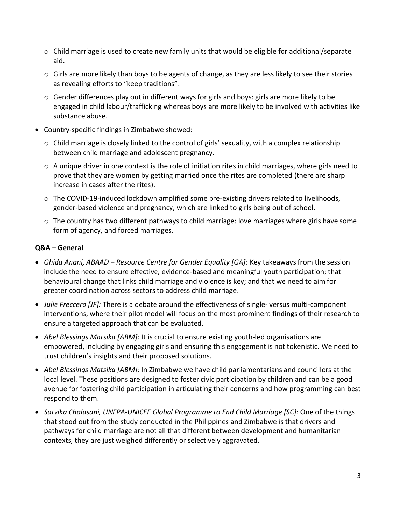- $\circ$  Child marriage is used to create new family units that would be eligible for additional/separate aid.
- o Girls are more likely than boys to be agents of change, as they are less likely to see their stories as revealing efforts to "keep traditions".
- $\circ$  Gender differences play out in different ways for girls and boys: girls are more likely to be engaged in child labour/trafficking whereas boys are more likely to be involved with activities like substance abuse.
- Country-specific findings in Zimbabwe showed:
	- $\circ$  Child marriage is closely linked to the control of girls' sexuality, with a complex relationship between child marriage and adolescent pregnancy.
	- $\circ$  A unique driver in one context is the role of initiation rites in child marriages, where girls need to prove that they are women by getting married once the rites are completed (there are sharp increase in cases after the rites).
	- $\circ$  The COVID-19-induced lockdown amplified some pre-existing drivers related to livelihoods, gender-based violence and pregnancy, which are linked to girls being out of school.
	- $\circ$  The country has two different pathways to child marriage: love marriages where girls have some form of agency, and forced marriages.

## **Q&A – General**

- *Ghida Anani, ABAAD – Resource Centre for Gender Equality [GA]:* Key takeaways from the session include the need to ensure effective, evidence-based and meaningful youth participation; that behavioural change that links child marriage and violence is key; and that we need to aim for greater coordination across sectors to address child marriage.
- *Julie Freccero [JF]:* There is a debate around the effectiveness of single- versus multi-component interventions, where their pilot model will focus on the most prominent findings of their research to ensure a targeted approach that can be evaluated.
- *Abel Blessings Matsika [ABM]:* It is crucial to ensure existing youth-led organisations are empowered, including by engaging girls and ensuring this engagement is not tokenistic. We need to trust children's insights and their proposed solutions.
- *Abel Blessings Matsika [ABM]:* In Zimbabwe we have child parliamentarians and councillors at the local level. These positions are designed to foster civic participation by children and can be a good avenue for fostering child participation in articulating their concerns and how programming can best respond to them.
- *Satvika Chalasani, UNFPA-UNICEF Global Programme to End Child Marriage [SC]:* One of the things that stood out from the study conducted in the Philippines and Zimbabwe is that drivers and pathways for child marriage are not all that different between development and humanitarian contexts, they are just weighed differently or selectively aggravated.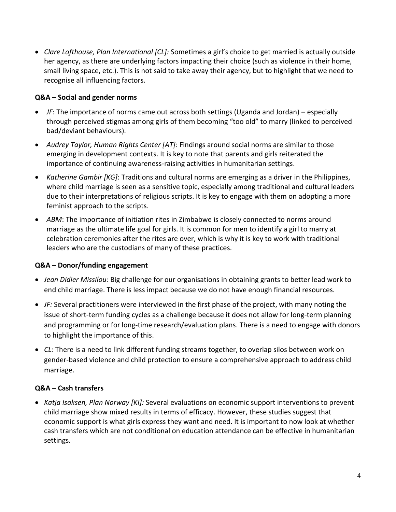• *Clare Lofthouse, Plan International [CL]:* Sometimes a girl's choice to get married is actually outside her agency, as there are underlying factors impacting their choice (such as violence in their home, small living space, etc.). This is not said to take away their agency, but to highlight that we need to recognise all influencing factors.

## **Q&A – Social and gender norms**

- *JF*: The importance of norms came out across both settings (Uganda and Jordan) especially through perceived stigmas among girls of them becoming "too old" to marry (linked to perceived bad/deviant behaviours).
- *Audrey Taylor, Human Rights Center [AT]*: Findings around social norms are similar to those emerging in development contexts. It is key to note that parents and girls reiterated the importance of continuing awareness-raising activities in humanitarian settings.
- *Katherine Gambir [KG]*: Traditions and cultural norms are emerging as a driver in the Philippines, where child marriage is seen as a sensitive topic, especially among traditional and cultural leaders due to their interpretations of religious scripts. It is key to engage with them on adopting a more feminist approach to the scripts.
- ABM: The importance of initiation rites in Zimbabwe is closely connected to norms around marriage as the ultimate life goal for girls. It is common for men to identify a girl to marry at celebration ceremonies after the rites are over, which is why it is key to work with traditional leaders who are the custodians of many of these practices.

## **Q&A – Donor/funding engagement**

- *Jean Didier Missilou:* Big challenge for our organisations in obtaining grants to better lead work to end child marriage. There is less impact because we do not have enough financial resources.
- *JF:* Several practitioners were interviewed in the first phase of the project, with many noting the issue of short-term funding cycles as a challenge because it does not allow for long-term planning and programming or for long-time research/evaluation plans. There is a need to engage with donors to highlight the importance of this.
- *CL:* There is a need to link different funding streams together, to overlap silos between work on gender-based violence and child protection to ensure a comprehensive approach to address child marriage.

### **Q&A – Cash transfers**

• *Katja Isaksen, Plan Norway [KI]:* Several evaluations on economic support interventions to prevent child marriage show mixed results in terms of efficacy. However, these studies suggest that economic support is what girls express they want and need. It is important to now look at whether cash transfers which are not conditional on education attendance can be effective in humanitarian settings.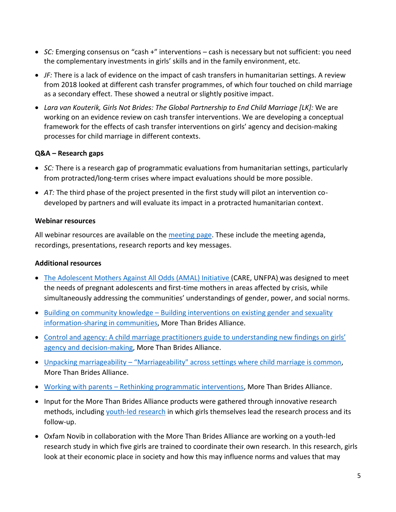- *SC:* Emerging consensus on "cash +" interventions cash is necessary but not sufficient: you need the complementary investments in girls' skills and in the family environment, etc.
- *JF:* There is a lack of evidence on the impact of cash transfers in humanitarian settings. A review from 2018 looked at different cash transfer programmes, of which four touched on child marriage as a secondary effect. These showed a neutral or slightly positive impact.
- *Lara van Kouterik, Girls Not Brides: The Global Partnership to End Child Marriage [LK]:* We are working on an evidence review on cash transfer interventions. We are developing a conceptual framework for the effects of cash transfer interventions on girls' agency and decision-making processes for child marriage in different contexts.

### **Q&A – Research gaps**

- *SC:* There is a research gap of programmatic evaluations from humanitarian settings, particularly from protracted/long-term crises where impact evaluations should be more possible.
- *AT:* The third phase of the project presented in the first study will pilot an intervention codeveloped by partners and will evaluate its impact in a protracted humanitarian context.

#### **Webinar resources**

All webinar resources are available on the [meeting page.](https://www.girlsnotbrides.org/learning-resources/child-marriage-research-action-network/crank-quarterly-research-meetings/crank-research-meeting-child-marriage-in-humanitarian-settings/) These include the meeting agenda, recordings, presentations, research reports and key messages.

### **Additional resources**

- [The Adolescent Mothers Against All Odds \(AMAL\) Initiative \(](https://www.care.org/our-work/disaster-response/health-in-emergencies/amal/)CARE, UNFPA) was designed to meet the needs of pregnant adolescents and first-time mothers in areas affected by crisis, while simultaneously addressing the communities' understandings of gender, power, and social norms.
- Building on community knowledge Building interventions on existing gender and sexuality [information-sharing in communities,](https://morethanbrides.org/mmwwk/portfolio-items/knowledge-product-4-building-on-community-knowledge/) More Than Brides Alliance.
- [Control and agency: A child marriage practitioners](https://morethanbrides.org/mmwwk/portfolio-items/knowledge-product-1-control-agency/) guide to understanding new findings on girls' [agency and decision-making,](https://morethanbrides.org/mmwwk/portfolio-items/knowledge-product-1-control-agency/) More Than Brides Alliance.
- Unpacking marriageability "[Marriageability" across settings where child marriage is common,](https://morethanbrides.org/mmwwk/portfolio-items/update-on-marriagibility-publication/) More Than Brides Alliance.
- Working with parents [Rethinking programmatic interventions,](https://morethanbrides.org/mmwwk/portfolio-items/knowledge-product-3-part-1-working-with-parents/) More Than Brides Alliance.
- Input for the More Than Brides Alliance products were gathered through innovative research methods, including [youth-led research](https://morethanbrides.org/mmwwk/2020/11/24/youth-led-research/) in which girls themselves lead the research process and its follow-up.
- Oxfam Novib in collaboration with the More Than Brides Alliance are working on a youth-led research study in which five girls are trained to coordinate their own research. In this research, girls look at their economic place in society and how this may influence norms and values that may